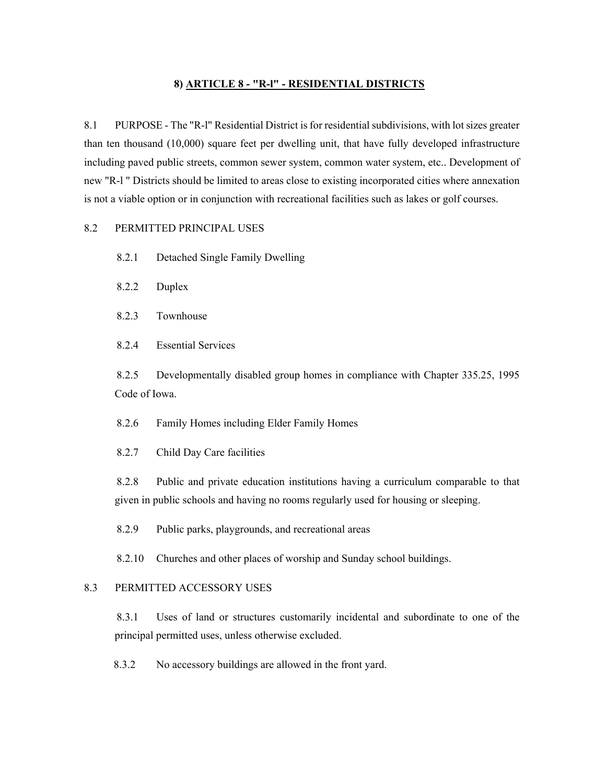## **8) ARTICLE 8 - "R-l" - RESIDENTIAL DISTRICTS**

8.1 PURPOSE - The "R-l" Residential District is for residential subdivisions, with lot sizes greater than ten thousand (10,000) square feet per dwelling unit, that have fully developed infrastructure including paved public streets, common sewer system, common water system, etc.. Development of new "R-l " Districts should be limited to areas close to existing incorporated cities where annexation is not a viable option or in conjunction with recreational facilities such as lakes or golf courses.

## 8.2 PERMITTED PRINCIPAL USES

- 8.2.1 Detached Single Family Dwelling
- 8.2.2 Duplex
- 8.2.3 Townhouse
- 8.2.4 Essential Services

8.2.5 Developmentally disabled group homes in compliance with Chapter 335.25, 1995 Code of Iowa.

8.2.6 Family Homes including Elder Family Homes

8.2.7 Child Day Care facilities

8.2.8 Public and private education institutions having a curriculum comparable to that given in public schools and having no rooms regularly used for housing or sleeping.

8.2.9 Public parks, playgrounds, and recreational areas

8.2.10 Churches and other places of worship and Sunday school buildings.

# 8.3 PERMITTED ACCESSORY USES

8.3.1 Uses of land or structures customarily incidental and subordinate to one of the principal permitted uses, unless otherwise excluded.

8.3.2 No accessory buildings are allowed in the front yard.